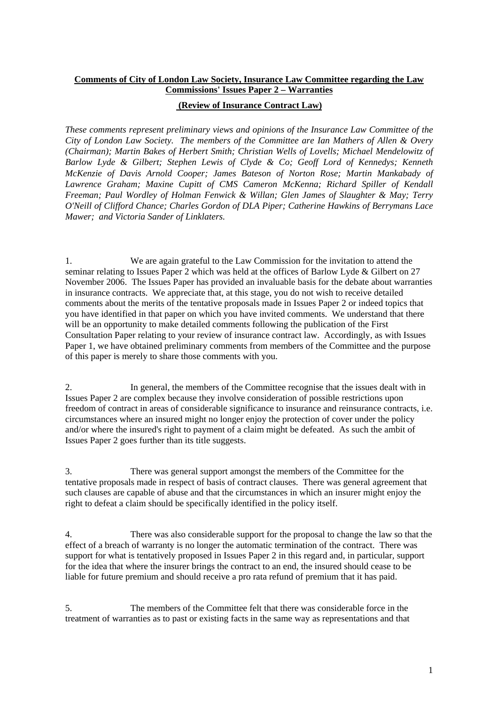## **Comments of City of London Law Society, Insurance Law Committee regarding the Law Commissions' Issues Paper 2 – Warranties**

## **(Review of Insurance Contract Law)**

*These comments represent preliminary views and opinions of the Insurance Law Committee of the City of London Law Society. The members of the Committee are Ian Mathers of Allen & Overy (Chairman); Martin Bakes of Herbert Smith; Christian Wells of Lovells; Michael Mendelowitz of Barlow Lyde & Gilbert; Stephen Lewis of Clyde & Co; Geoff Lord of Kennedys; Kenneth McKenzie of Davis Arnold Cooper; James Bateson of Norton Rose; Martin Mankabady of Lawrence Graham; Maxine Cupitt of CMS Cameron McKenna; Richard Spiller of Kendall Freeman; Paul Wordley of Holman Fenwick & Willan; Glen James of Slaughter & May; Terry O'Neill of Clifford Chance; Charles Gordon of DLA Piper; Catherine Hawkins of Berrymans Lace Mawer; and Victoria Sander of Linklaters.* 

1. We are again grateful to the Law Commission for the invitation to attend the seminar relating to Issues Paper 2 which was held at the offices of Barlow Lyde & Gilbert on 27 November 2006. The Issues Paper has provided an invaluable basis for the debate about warranties in insurance contracts. We appreciate that, at this stage, you do not wish to receive detailed comments about the merits of the tentative proposals made in Issues Paper 2 or indeed topics that you have identified in that paper on which you have invited comments. We understand that there will be an opportunity to make detailed comments following the publication of the First Consultation Paper relating to your review of insurance contract law. Accordingly, as with Issues Paper 1, we have obtained preliminary comments from members of the Committee and the purpose of this paper is merely to share those comments with you.

2. In general, the members of the Committee recognise that the issues dealt with in Issues Paper 2 are complex because they involve consideration of possible restrictions upon freedom of contract in areas of considerable significance to insurance and reinsurance contracts, i.e. circumstances where an insured might no longer enjoy the protection of cover under the policy and/or where the insured's right to payment of a claim might be defeated. As such the ambit of Issues Paper 2 goes further than its title suggests.

3. There was general support amongst the members of the Committee for the tentative proposals made in respect of basis of contract clauses. There was general agreement that such clauses are capable of abuse and that the circumstances in which an insurer might enjoy the right to defeat a claim should be specifically identified in the policy itself.

4. There was also considerable support for the proposal to change the law so that the effect of a breach of warranty is no longer the automatic termination of the contract. There was support for what is tentatively proposed in Issues Paper 2 in this regard and, in particular, support for the idea that where the insurer brings the contract to an end, the insured should cease to be liable for future premium and should receive a pro rata refund of premium that it has paid.

5. The members of the Committee felt that there was considerable force in the treatment of warranties as to past or existing facts in the same way as representations and that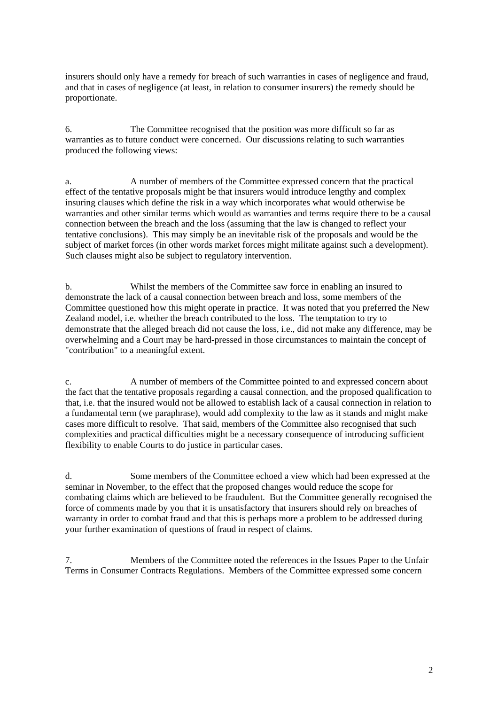insurers should only have a remedy for breach of such warranties in cases of negligence and fraud, and that in cases of negligence (at least, in relation to consumer insurers) the remedy should be proportionate.

6. The Committee recognised that the position was more difficult so far as warranties as to future conduct were concerned. Our discussions relating to such warranties produced the following views:

a. A number of members of the Committee expressed concern that the practical effect of the tentative proposals might be that insurers would introduce lengthy and complex insuring clauses which define the risk in a way which incorporates what would otherwise be warranties and other similar terms which would as warranties and terms require there to be a causal connection between the breach and the loss (assuming that the law is changed to reflect your tentative conclusions). This may simply be an inevitable risk of the proposals and would be the subject of market forces (in other words market forces might militate against such a development). Such clauses might also be subject to regulatory intervention.

b. Whilst the members of the Committee saw force in enabling an insured to demonstrate the lack of a causal connection between breach and loss, some members of the Committee questioned how this might operate in practice. It was noted that you preferred the New Zealand model, i.e. whether the breach contributed to the loss. The temptation to try to demonstrate that the alleged breach did not cause the loss, i.e., did not make any difference, may be overwhelming and a Court may be hard-pressed in those circumstances to maintain the concept of "contribution" to a meaningful extent.

c. A number of members of the Committee pointed to and expressed concern about the fact that the tentative proposals regarding a causal connection, and the proposed qualification to that, i.e. that the insured would not be allowed to establish lack of a causal connection in relation to a fundamental term (we paraphrase), would add complexity to the law as it stands and might make cases more difficult to resolve. That said, members of the Committee also recognised that such complexities and practical difficulties might be a necessary consequence of introducing sufficient flexibility to enable Courts to do justice in particular cases.

d. Some members of the Committee echoed a view which had been expressed at the seminar in November, to the effect that the proposed changes would reduce the scope for combating claims which are believed to be fraudulent. But the Committee generally recognised the force of comments made by you that it is unsatisfactory that insurers should rely on breaches of warranty in order to combat fraud and that this is perhaps more a problem to be addressed during your further examination of questions of fraud in respect of claims.

7. Members of the Committee noted the references in the Issues Paper to the Unfair Terms in Consumer Contracts Regulations. Members of the Committee expressed some concern